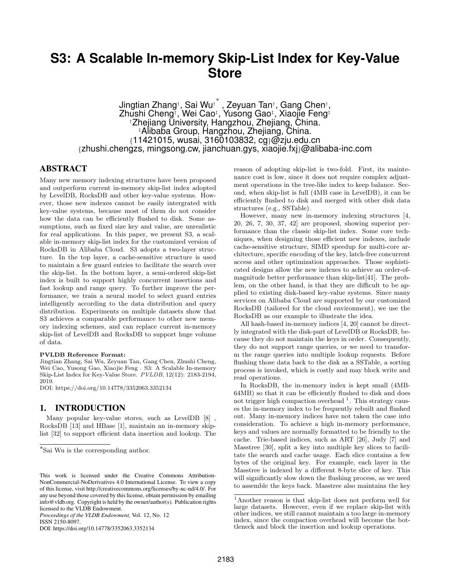# **S3: A Scalable In-memory Skip-List Index for Key-Value Store**

Jingtian Zhang† , Sai Wu† ∗ , Zeyuan Tan† , Gang Chen† , Zhushi Cheng‡ , Wei Cao‡ , Yusong Gao‡ , Xiaojie Feng‡ †Zhejiang University, Hangzhou, Zhejiang, China. ‡Alibaba Group, Hangzhou, Zhejiang, China. {11421015, wusai, 3160103832, cg}@zju.edu.cn {zhushi.chengzs, mingsong.cw, jianchuan.gys, xiaojie.fxj}@alibaba-inc.com

## ABSTRACT

Many new memory indexing structures have been proposed and outperform current in-memory skip-list index adopted by LevelDB, RocksDB and other key-value systems. However, those new indexes cannot be easily intergrated with key-value systems, because most of them do not consider how the data can be efficiently flushed to disk. Some assumptions, such as fixed size key and value, are unrealistic for real applications. In this paper, we present S3, a scalable in-memory skip-list index for the customized version of RocksDB in Alibaba Cloud. S3 adopts a two-layer structure. In the top layer, a cache-sensitive structure is used to maintain a few guard entries to facilitate the search over the skip-list. In the bottom layer, a semi-ordered skip-list index is built to support highly concurrent insertions and fast lookup and range query. To further improve the performance, we train a neural model to select guard entries intelligently according to the data distribution and query distribution. Experiments on multiple datasets show that S3 achieves a comparable performance to other new memory indexing schemes, and can replace current in-memory skip-list of LevelDB and RocksDB to support huge volume of data.

#### PVLDB Reference Format:

Jingtian Zhang, Sai Wu, Zeyuan Tan, Gang Chen, Zhushi Cheng, Wei Cao, Yusong Gao, Xiaojie Feng . S3: A Scalable In-memory Skip-List Index for Key-Value Store. PVLDB, 12(12): 2183-2194, 2019.

DOI: https://doi.org/10.14778/3352063.3352134

## 1. INTRODUCTION

Many popular key-value stores, such as LevelDB [8] , RocksDB [13] and HBase [1], maintain an in-memory skiplist [32] to support efficient data insertion and lookup. The

*Proceedings of the VLDB Endowment,* Vol. 12, No. 12 ISSN 2150-8097.

DOI: https://doi.org/10.14778/3352063.3352134

reason of adopting skip-list is two-fold. First, its maintenance cost is low, since it does not require complex adjustment operations in the tree-like index to keep balance. Second, when skip-list is full (4MB case in LevelDB), it can be efficiently flushed to disk and merged with other disk data structures (e.g., SSTable).

However, many new in-memory indexing structures [4, 20, 26, 7, 30, 37, 42] are proposed, showing superior performance than the classic skip-list index. Some core techniques, when designing those efficient new indexes, include cache-sensitive structure, SIMD speedup for multi-core architecture, specific encoding of the key, latch-free concurrent access and other optimization approaches. Those sophisticated designs allow the new indexes to achieve an order-ofmagnitude better performance than skip-list[41]. The problem, on the other hand, is that they are difficult to be applied to existing disk-based key-value systems. Since many services on Alibaba Cloud are supported by our customized RocksDB (tailored for the cloud environment), we use the RocksDB as our example to illustrate the idea.

All hash-based in-memory indices [4, 20] cannot be directly integrated with the disk-part of LevelDB or RocksDB, because they do not maintain the keys in order. Consequently, they do not support range queries, or we need to transform the range queries into multiple lookup requests. Before flushing those data back to the disk as a SSTable, a sorting process is invoked, which is costly and may block write and read operations.

In RocksDB, the in-memory index is kept small (4MB-64MB) so that it can be efficiently flushed to disk and does not trigger high compaction overhead  $<sup>1</sup>$ . This strategy caus-</sup> es the in-memory index to be frequently rebuilt and flushed out. Many in-memory indices have not taken the case into consideration. To achieve a high in-memory performance, keys and values are normally formatted to be friendly to the cache. Trie-based indices, such as ART [26], Judy [7] and Masstree [30], split a key into multiple key slices to facilitate the search and cache usage. Each slice contains a few bytes of the original key. For example, each layer in the Masstree is indexed by a different 8-byte slice of key. This will significantly slow down the flushing process, as we need to assemble the keys back. Masstree also maintains the key

<sup>∗</sup> Sai Wu is the corresponding author.

This work is licensed under the Creative Commons Attribution-NonCommercial-NoDerivatives 4.0 International License. To view a copy of this license, visit http://creativecommons.org/licenses/by-nc-nd/4.0/. For any use beyond those covered by this license, obtain permission by emailing info@vldb.org. Copyright is held by the owner/author(s). Publication rights licensed to the VLDB Endowment.

<sup>1</sup>Another reason is that skip-list does not perform well for large datasets. However, even if we replace skip-list with other indices, we still cannot maintain a too large in-memory index, since the compaction overhead will become the bottleneck and block the insertion and lookup operations.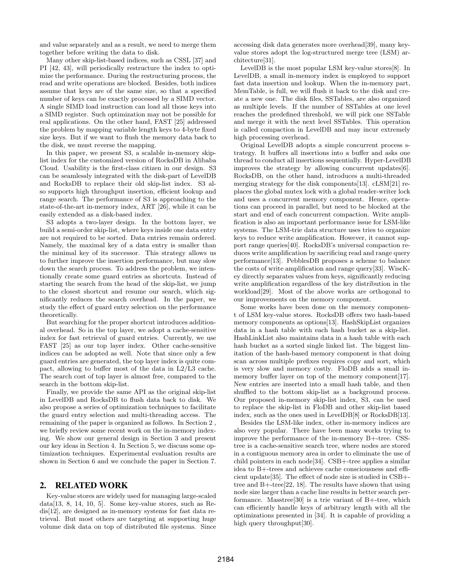and value separately and as a result, we need to merge them together before writing the data to disk.

Many other skip-list-based indices, such as CSSL [37] and PI [42, 43], will periodically restructure the index to optimize the performance. During the restructuring process, the read and write operations are blocked. Besides, both indices assume that keys are of the same size, so that a specified number of keys can be exactly processed by a SIMD vector. A single SIMD load instruction can load all those keys into a SIMD register. Such optimization may not be possible for real applications. On the other hand, FAST [25] addressed the problem by mapping variable length keys to 4-byte fixed size keys. But if we want to flush the memory data back to the disk, we must reverse the mapping.

In this paper, we present S3, a scalable in-memory skiplist index for the customized version of RocksDB in Alibaba Cloud. Usability is the first-class citizen in our design. S3 can be seamlessly integrated with the disk-part of LevelDB and RocksDB to replace their old skip-list index. S3 also supports high throughput insertion, efficient lookup and range search. The performance of S3 is approaching to the state-of-the-art in-memory index, ART [26], while it can be easily extended as a disk-based index.

S3 adopts a two-layer design. In the bottom layer, we build a semi-order skip-list, where keys inside one data entry are not required to be sorted. Data entries remain ordered. Namely, the maximal key of a data entry is smaller than the minimal key of its successor. This strategy allows us to further improve the insertion performance, but may slow down the search process. To address the problem, we intentionally create some guard entries as shortcuts. Instead of starting the search from the head of the skip-list, we jump to the closest shortcut and resume our search, which significantly reduces the search overhead. In the paper, we study the effect of guard entry selection on the performance theoretically.

But searching for the proper shortcut introduces additional overhead. So in the top layer, we adopt a cache-sensitive index for fast retrieval of guard entries. Currently, we use FAST [25] as our top layer index. Other cache-sensitive indices can be adopted as well. Note that since only a few guard entries are generated, the top layer index is quite compact, allowing to buffer most of the data in L2/L3 cache. The search cost of top layer is almost free, compared to the search in the bottom skip-list.

Finally, we provide the same API as the original skip-list in LevelDB and RocksDB to flush data back to disk. We also propose a series of optimization techniques to facilitate the guard entry selection and multi-threading access. The remaining of the paper is organized as follows. In Section 2 , we briefly review some recent work on the in-memory indexing. We show our general design in Section 3 and present our key ideas in Section 4. In Section 5, we discuss some optimization techniques. Experimental evaluation results are shown in Section 6 and we conclude the paper in Section 7.

## 2. RELATED WORK

Key-value stores are widely used for managing large-scaled data[13, 8, 14, 10, 5]. Some key-value stores, such as Redis[12], are designed as in-memory systems for fast data retrieval. But most others are targeting at supporting huge volume disk data on top of distributed file systems. Since accessing disk data generates more overhead[39], many keyvalue stores adopt the log-structured merge tree (LSM) architecture[31].

LevelDB is the most popular LSM key-value stores[8]. In LevelDB, a small in-memory index is employed to support fast data insertion and lookup. When the in-memory part, MemTable, is full, we will flush it back to the disk and create a new one. The disk files, SSTables, are also organized as multiple levels. If the number of SSTables at one level reaches the predefined threshold, we will pick one SSTable and merge it with the next level SSTables. This operation is called compaction in LevelDB and may incur extremely high processing overhead.

Original LevelDB adopts a simple concurrent process strategy. It buffers all insertions into a buffer and asks one thread to conduct all insertions sequentially. Hyper-LevelDB improves the strategy by allowing concurrent updates[6]. RocksDB, on the other hand, introduces a multi-threaded merging strategy for the disk components[13]. cLSM[21] replaces the global mutex lock with a global reader-writer lock and uses a concurrent memory component. Hence, operations can proceed in parallel, but need to be blocked at the start and end of each concurrent compaction. Write amplification is also an important performance issue for LSM-like systems. The LSM-trie data structure uses tries to organize keys to reduce write amplification. However, it cannot support range queries[40]. RocksDB's universal compaction reduces write amplification by sacrificing read and range query performance[13]. PebblesDB proposes a scheme to balance the costs of write amplification and range query[33]. WiscKey directly separates values from keys, significantly reducing write amplification regardless of the key distribution in the workload[29]. Most of the above works are orthogonal to our improvements on the memory component.

Some works have been done on the memory component of LSM key-value stores. RocksDB offers two hash-based memory components as options[13]. HashSkipList organizes data in a hash table with each hash bucket as a skip-list. HashLinkList also maintains data in a hash table with each hash bucket as a sorted single linked list. The biggest limitation of the hash-based memory component is that doing scan across multiple prefixes requires copy and sort, which is very slow and memory costly. FloDB adds a small inmemory buffer layer on top of the memory component[17]. New entries are inserted into a small hash table, and then shuffled to the bottom skip-list as a background process. Our proposed in-memory skip-list index, S3, can be used to replace the skip-list in FloDB and other skip-list based index, such as the ones used in LevelDB[8] or RocksDB[13].

Besides the LSM-like index, other in-memory indices are also very popular. There have been many works trying to improve the performance of the in-memory B+-tree. CSStree is a cache-sensitive search tree, where nodes are stored in a contiguous memory area in order to eliminate the use of child pointers in each node[34]. CSB+-tree applies a similar idea to B+-trees and achieves cache consciousness and efficient update[35]. The effect of node size is studied in CSB+ tree and B+-tree[22, 18]. The results have shown that using node size larger than a cache line results in better search performance. Masstree[30] is a trie variant of B+-tree, which can efficiently handle keys of arbitrary length with all the optimizations presented in [34]. It is capable of providing a high query throughput [30].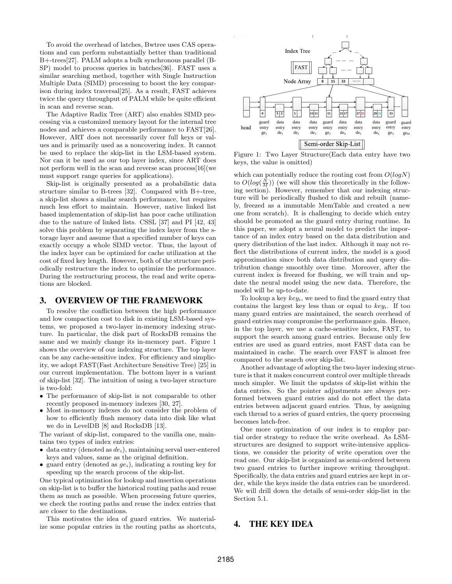To avoid the overhead of latches, Bwtree uses CAS operations and can perform substantially better than traditional B+-trees[27]. PALM adopts a bulk synchronous parallel (B-SP) model to process queries in batches[36]. FAST uses a similar searching method, together with Single Instruction Multiple Data (SIMD) processing to boost the key comparison during index traversal[25]. As a result, FAST achieves twice the query throughput of PALM while be quite efficient in scan and reverse scan.

The Adaptive Radix Tree (ART) also enables SIMD processing via a customized memory layout for the internal tree nodes and achieves a comparable performance to FAST[26]. However, ART does not necessarily cover full keys or values and is primarily used as a noncovering index. It cannot be used to replace the skip-list in the LSM-based system. Nor can it be used as our top layer index, since ART does not perform well in the scan and reverse scan process[16](we must support range queries for applications).

Skip-list is originally presented as a probabilistic data structure similar to B-trees [32]. Compared with B+-tree, a skip-list shows a similar search performance, but requires much less effort to maintain. However, native linked list based implementation of skip-list has poor cache utilization due to the nature of linked lists. CSSL [37] and PI [42, 43] solve this problem by separating the index layer from the storage layer and assume that a specified number of keys can exactly occupy a whole SIMD vector. Thus, the layout of the index layer can be optimized for cache utilization at the cost of fixed key length. However, both of the structure periodically restructure the index to optimize the performance. During the restructuring process, the read and write operations are blocked.

#### 3. OVERVIEW OF THE FRAMEWORK

To resolve the confliction between the high performance and low compaction cost to disk in existing LSM-based systems, we proposed a two-layer in-memory indexing structure. In particular, the disk part of RocksDB remains the same and we mainly change its in-memory part. Figure 1 shows the overview of our indexing structure. The top layer can be any cache-sensitive index. For efficiency and simplicity, we adopt FAST(Fast Architecture Sensitive Tree) [25] in our current implementation. The bottom layer is a variant of skip-list [32]. The intuition of using a two-layer structure is two-fold:

- The performance of skip-list is not comparable to other recently proposed in-memory indexes [30, 27].
- Most in-memory indexes do not consider the problem of how to efficiently flush memory data into disk like what we do in LevelDB [8] and RocksDB [13].

The variant of skip-list, compared to the vanilla one, maintains two types of index entries:

- data entry (denoted as  $de_i$ ), maintaining serval user-entered keys and values, same as the original definition.
- guard entry (denoted as  $ge_i$ ), indicating a routing key for speeding up the search process of the skip-list.

One typical optimization for lookup and insertion operations on skip-list is to buffer the historical routing paths and reuse them as much as possible. When processing future queries, we check the routing paths and reuse the index entries that are closer to the destinations.

This motivates the idea of guard entries. We materialize some popular entries in the routing paths as shortcuts,



Figure 1: Two Layer Structure(Each data entry have two keys, the value is omitted)

which can potentially reduce the routing cost from  $O(logN)$ to  $O(log(\frac{N}{M}))$  (we will show this theoretically in the following section). However, remember that our indexing structure will be periodically flushed to disk and rebuilt (namely, freezed as a immutable MemTable and created a new one from scratch). It is challenging to decide which entry should be promoted as the guard entry during runtime. In this paper, we adopt a neural model to predict the importance of an index entry based on the data distribution and query distribution of the last index. Although it may not reflect the distributions of current index, the model is a good approximation since both data distribution and query distribution change smoothly over time. Moreover, after the current index is freezed for flushing, we will train and update the neural model using the new data. Therefore, the model will be up-to-date.

To lookup a key  $key_i$ , we need to find the guard entry that contains the largest key less than or equal to  $key_i$ . If too many guard entries are maintained, the search overhead of guard entries may compromise the performance gain. Hence, in the top layer, we use a cache-sensitive index, FAST, to support the search among guard entries. Because only few entries are used as guard entries, most FAST data can be maintained in cache. The search over FAST is almost free compared to the search over skip-list.

Another advantage of adopting the two-layer indexing structure is that it makes concurrent control over multiple threads much simpler. We limit the updates of skip-list within the data entries. So the pointer adjustments are always performed between guard entries and do not effect the data entries between adjacent guard entries. Thus, by assigning each thread to a series of guard entries, the query processing becomes latch-free.

One more optimization of our index is to employ partial order strategy to reduce the write overhead. As LSMstructures are designed to support write-intensive applications, we consider the priority of write operation over the read one. Our skip-list is organized as semi-ordered between two guard entries to further improve writing throughput. Specifically, the data entries and guard entries are kept in order, while the keys inside the data entries can be unordered. We will drill down the details of semi-order skip-list in the Section 5.1.

# 4. THE KEY IDEA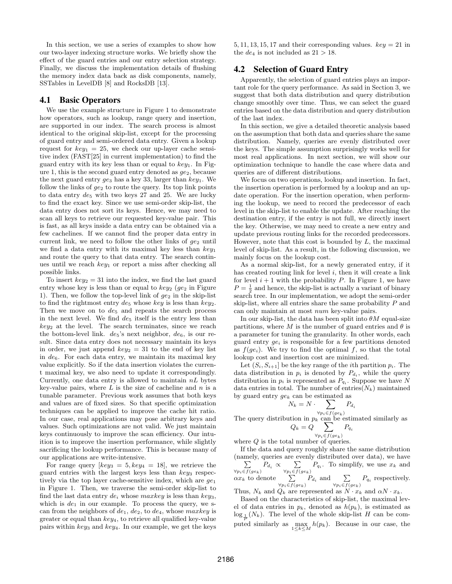In this section, we use a series of examples to show how our two-layer indexing structure works. We briefly show the effect of the guard entries and our entry selection strategy. Finally, we discuss the implementation details of flushing the memory index data back as disk components, namely, SSTables in LevelDB [8] and RocksDB [13].

## 4.1 Basic Operators

We use the example structure in Figure 1 to demonstrate how operators, such as lookup, range query and insertion, are supported in our index. The search process is almost identical to the original skip-list, except for the processing of guard entry and semi-ordered data entry. Given a lookup request for  $key_1 = 25$ , we check our up-layer cache sensitive index (FAST[25] in current implementation) to find the guard entry with its key less than or equal to  $key_1$ . In Figure 1, this is the second guard entry denoted as  $ge_2$ , because the next guard entry  $ge_3$  has a key 33, larger than  $key_1$ . We follow the links of  $ge_2$  to route the query. Its top link points to data entry  $de_5$  with two keys 27 and 25. We are lucky to find the exact key. Since we use semi-order skip-list, the data entry does not sort its keys. Hence, we may need to scan all keys to retrieve our requested key-value pair. This is fast, as all keys inside a data entry can be obtained via a few cachelines. If we cannot find the proper data entry in current link, we need to follow the other links of  $q_{e_2}$  until we find a data entry with its maximal key less than  $key_1$ and route the query to that data entry. The search continues until we reach  $key_1$  or report a miss after checking all possible links.

To insert  $key_2 = 31$  into the index, we find the last guard entry whose key is less than or equal to  $key_2$  ( $ge_2$  in Figure 1). Then, we follow the top-level link of  $ge_2$  in the skip-list to find the rightmost entry  $de_5$  whose key is less than key<sub>2</sub>. Then we move on to  $de_5$  and repeats the search process in the next level. We find  $de_5$  itself is the entry less than  $key_2$  at the level. The search terminates, since we reach the bottom-level link.  $de_5$ 's next neighbor,  $de_6$ , is our result. Since data entry does not necessary maintain its keys in order, we just append  $key_2 = 31$  to the end of key list in  $de_6$ . For each data entry, we maintain its maximal key value explicitly. So if the data insertion violates the current maximal key, we also need to update it correspondingly. Currently, one data entry is allowed to maintain  $nL$  bytes key-value pairs, where  $L$  is the size of cacheline and  $n$  is a tunable parameter. Previous work assumes that both keys and values are of fixed sizes. So that specific optimization techniques can be applied to improve the cache hit ratio. In our case, real applications may pose arbitrary keys and values. Such optimizations are not valid. We just maintain keys continuously to improve the scan efficiency. Our intuition is to improve the insertion performance, while slightly sacrificing the lookup performance. This is because many of our applications are write-intensive.

For range query  $\left[\frac{key_3}{5}, \frac{key_4}{5}\right] = 18$ , we retrieve the guard entries with the largest keys less than  $key_3$  respectively via the top layer cache-sensitive index, which are  $ge_1$ in Figure 1. Then, we traverse the semi-order skip-list to find the last data entry  $de_i$  whose maxkey is less than key<sub>3</sub>, which is  $de_1$  in our example. To process the query, we scan from the neighbors of  $de_1$ ,  $de_2$ , to  $de_4$ , whose maxkey is greater or equal than  $key_4$ , to retrieve all qualified key-value pairs within  $key_3$  and  $key_4$ . In our example, we get the keys 5, 11, 13, 15, 17 and their corresponding values.  $key = 21$  in the  $de_4$  is not included as  $21 > 18$ .

## 4.2 Selection of Guard Entry

Apparently, the selection of guard entries plays an important role for the query performance. As said in Section 3, we suggest that both data distribution and query distribution change smoothly over time. Thus, we can select the guard entries based on the data distribution and query distribution of the last index.

In this section, we give a detailed theoretic analysis based on the assumption that both data and queries share the same distribution. Namely, queries are evenly distributed over the keys. The simple assumption surprisingly works well for most real applications. In next section, we will show our optimization technique to handle the case where data and queries are of different distributions.

We focus on two operations, lookup and insertion. In fact, the insertion operation is performed by a lookup and an update operation. For the insertion operation, when performing the lookup, we need to record the predecessor of each level in the skip-list to enable the update. After reaching the destination entry, if the entry is not full, we directly insert the key. Otherwise, we may need to create a new entry and update previous routing links for the recorded predecessors. However, note that this cost is bounded by  $L$ , the maximal level of skip-list. As a result, in the following discussion, we mainly focus on the lookup cost.

As a normal skip-list, for a newly generated entry, if it has created routing link for level  $i$ , then it will create a link for level  $i + 1$  with the probability P. In Figure 1, we have  $P = \frac{1}{2}$  and hence, the skip-list is actually a variant of binary search tree. In our implementation, we adopt the semi-order skip-list, where all entries share the same probability P and can only maintain at most num key-value pairs.

In our skip-list, the data has been split into  $\theta M$  equal-size partitions, where M is the number of guard entries and  $\theta$  is a parameter for tuning the granularity. In other words, each guard entry  $ge_i$  is responsible for a few partitions denoted as  $f(ge_i)$ . We try to find the optimal f, so that the total lookup cost and insertion cost are minimized.

Let  $(S_i, S_{i+1}]$  be the key range of the *i*th partition  $p_i$ . The data distribution in  $p_i$  is denoted by  $P_{d_i}$ , while the query distribution in  $p_i$  is represented as  $P_{q_i}$ . Suppose we have N data entries in total. The number of entries( $N_k$ ) maintained by guard entry  $ge_k$  can be estimated as

$$
N_k = N \cdot \sum_{\forall n_i \in f(\text{gen})} P_{d_i}
$$

The query distribution in  $p_k$  can be estimated similarly as  $Q_k = Q \quad \sum \quad P_{q_i}$ 

 $\forall p_i \overline{\in} f(ge_k)$ where  $Q$  is the total number of queries.

If the data and query roughly share the same distribution (namely, queries are evenly distributed over data), we have P  $\sum_{\forall p_i \in f(ge_k)} P_{d_i} \propto \sum_{\forall p_i \in f(e)}$  $\sum_{\forall p_i \in f(g_{e_k})} P_{q_i}$ . To simplify, we use  $x_k$  and  $\alpha x_k$  to denote  $\sum$  $\sum_{\forall p_i \in f(ge_k)} P_{d_i}$  and  $\sum_{\forall p_i \in f(i)}$  $\sum_{\forall p_i \in f(ge_k)} P_{q_i}$  respectively. Thus,  $N_k$  and  $Q_k$  are represented as  $N \cdot x_k$  and  $\alpha N \cdot x_k$ .

Based on the characteristics of skip-list, the maximal level of data entries in  $p_k$ , denoted as  $h(p_k)$ , is estimated as  $\log_{\frac{1}{2}}(N_k)$ . The level of the whole skip-list H can be computed similarly as  $\max_{1 \leq k \leq M} h(p_k)$ . Because in our case, the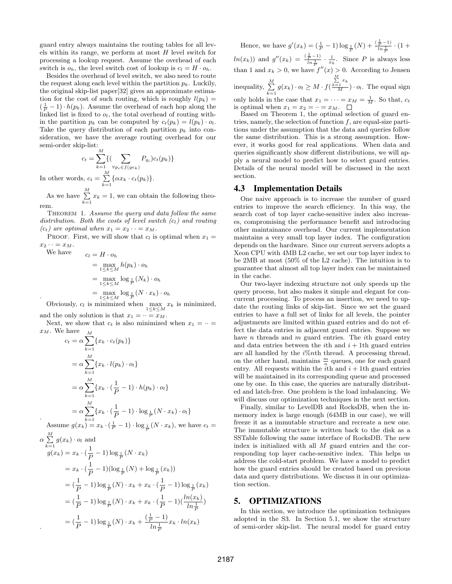guard entry always maintains the routing tables for all levels within its range, we perform at most  $H$  level switch for processing a lookup request. Assume the overhead of each switch is  $o_h$ , the level switch cost of lookup is  $c_l = H \cdot o_h$ .

Besides the overhead of level switch, we also need to route the request along each level within the partition  $p_k$ . Luckily, the original skip-list paper[32] gives an approximate estimation for the cost of such routing, which is roughly  $l(p_k)$  =  $(\frac{1}{P} - 1) \cdot h(p_k)$ . Assume the overhead of each hop along the linked list is fixed to  $o_l$ , the total overhead of routing within the partition  $p_k$  can be computed by  $c_t(p_k) = l(p_k) \cdot o_l$ . Take the query distribution of each partition  $p_k$  into consideration, we have the average routing overhead for our semi-order skip-list:

$$
c_t = \sum_{k=1}^{M} \{ (\sum_{\forall p_i \in f(ge_k)} P_{q_i}) c_t(p_k) \}
$$
  
In other words, 
$$
c_t = \sum_{k=1}^{M} \{ \alpha x_k \cdot c_t(p_k) \}.
$$

As we have  $\sum_{k=1}^{M} x_k = 1$ , we can obtain the following theorem.

THEOREM 1. Assume the query and data follow the same distribution. Both the costs of level switch  $(c_l)$  and routing  $(c_t)$  are optimal when  $x_1 = x_2 \cdots = x_M$ .

PROOF. First, we will show that  $c_l$  is optimal when  $x_1 =$  $x_2 \cdot \cdot = x_M.$ 

$$
c_l = H \cdot o_h
$$
  
= 
$$
\max_{1 \le k \le M} h(p_k) \cdot o_h
$$
  
= 
$$
\max_{1 \le k \le M} \log_{\frac{1}{P}} (N_k) \cdot o_h
$$
  
= 
$$
\max_{1 \le k \le M} \log_{\frac{1}{P}} (N \cdot x_k) \cdot o_h
$$

We have

.

Obviously,  $c_l$  is minimized when  $\max_{1 \leq k \leq M} x_k$  is minimized, and the only solution is that  $x_1 = \cdots = x_M$ .

Next, we show that  $c_t$  is also minimized when  $x_1 = \cdots =$ 

$$
x_M. \text{ We have}
$$
\n
$$
c_t = \alpha \sum_{k=1}^M \{x_k \cdot c_t(p_k)\}
$$
\n
$$
= \alpha \sum_{k=1}^M \{x_k \cdot l(p_k) \cdot o_l\}
$$
\n
$$
= \alpha \sum_{k=1}^M \{x_k \cdot (\frac{1}{P} - 1) \cdot h(p_k) \cdot o_l\}
$$
\n
$$
= \alpha \sum_{k=1}^M \{x_k \cdot (\frac{1}{P} - 1) \cdot \log_{\frac{1}{P}} (N \cdot x_k) \cdot o_l\}
$$
\nAssume  $g(x_k) = x_k \cdot (\frac{1}{P} - 1) \cdot \log_{\frac{1}{P}} (N \cdot x_k)$ , we have  $c_t = \alpha \sum_{k=1}^M g(x_k) \cdot o_l$  and  
\n
$$
g(x_k) = x_k \cdot (\frac{1}{P} - 1) \log_{\frac{1}{P}} (N \cdot x_k)
$$
\n
$$
= x_k \cdot (\frac{1}{P} - 1) (\log_{\frac{1}{P}} (N) + \log_{\frac{1}{P}} (x_k))
$$
\n
$$
= (\frac{1}{P} - 1) \log_{\frac{1}{P}} (N) \cdot x_k + x_k \cdot (\frac{1}{P} - 1) \log_{\frac{1}{P}} (x_k)
$$
\n
$$
= (\frac{1}{P} - 1) \log_{\frac{1}{P}} (N) \cdot x_k + x_k \cdot (\frac{1}{P} - 1) (\frac{\ln(x_k)}{\ln \frac{1}{P}})
$$
\n
$$
= (\frac{1}{P} - 1) \log_{\frac{1}{P}} (N) \cdot x_k + \frac{(\frac{1}{P} - 1)}{\ln \frac{1}{P}} x_k \cdot \ln(x_k)
$$

Hence, we have  $g'(x_k) = (\frac{1}{P} - 1) \log_{\frac{1}{P}}(N) + \frac{(\frac{1}{P} - 1)}{\ln \frac{1}{P}} \cdot (1 +$  $ln(x_k)$  and  $g''(x_k) = \frac{\left(\frac{1}{P} - 1\right)}{\ln \frac{1}{P}} \cdot \frac{1}{x_k}$ . Since P is always less than 1 and  $x_k > 0$ , we have  $f''(x) > 0$ . According to Jensen inequality,  $\sum_{k=1}^{M} g(x_k) \cdot o_l \geq M \cdot f($  $\frac{\sum\limits_{k=1}^{M} x_k}{M}$ ) ·  $o_l$ . The equal sign only holds in the case that  $x_1 = \cdots = x_M = \frac{1}{M}$ . So that,  $c_t$ is optimal when  $x_1 = x_2 = \cdots = x_M$ .  $\Box$ 

Based on Theorem 1, the optimal selection of guard entries, namely, the selection of function  $f$ , are equal-size partitions under the assumption that the data and queries follow the same distribution. This is a strong assumption. However, it works good for real applications. When data and queries significantly show different distributions, we will apply a neural model to predict how to select guard entries. Details of the neural model will be discussed in the next section.

## 4.3 Implementation Details

One naive approach is to increase the number of guard entries to improve the search efficiency. In this way, the search cost of top layer cache-sensitive index also increases, compromising the performance benefit and introducing other maintainance overhead. Our current implementation maintains a very small top layer index. The configuration depends on the hardware. Since our current servers adopts a Xeon CPU with 4MB L2 cache, we set our top layer index to be 2MB at most (50% of the L2 cache). The intuition is to guarantee that almost all top layer index can be maintained in the cache.

Our two-layer indexing structure not only speeds up the query process, but also makes it simple and elegant for concurrent processing. To process an insertion, we need to update the routing links of skip-list. Since we set the guard entries to have a full set of links for all levels, the pointer adjustments are limited within guard entries and do not effect the data entries in adjacent guard entries. Suppose we have  $n$  threads and  $m$  guard entries. The *i*th guard entry and data entries between the *i*th and  $i + 1$ th guard entries are all handled by the  $i\%$ nth thread. A processing thread, on the other hand, maintains  $\frac{m}{n}$  queues, one for each guard entry. All requests within the  $i$ <sup>th</sup> and  $i + 1$ <sup>th</sup> guard entries will be maintained in its corresponding queue and processed one by one. In this case, the queries are naturally distributed and latch-free. One problem is the load imbalancing. We will discuss our optimization techniques in the next section.

Finally, similar to LevelDB and RocksDB, when the inmemory index is large enough (64MB in our case), we will freeze it as a immutable structure and recreate a new one. The immutable structure is written back to the disk as a SSTable following the same interface of RocksDB. The new index is initialized with all  $M$  guard entries and the corresponding top layer cache-sensitive index. This helps us address the cold-start problem. We have a model to predict how the guard entries should be created based on previous data and query distributions. We discuss it in our optimization section.

# 5. OPTIMIZATIONS

In this section, we introduce the optimization techniques adopted in the S3. In Section 5.1, we show the structure of semi-order skip-list. The neural model for guard entry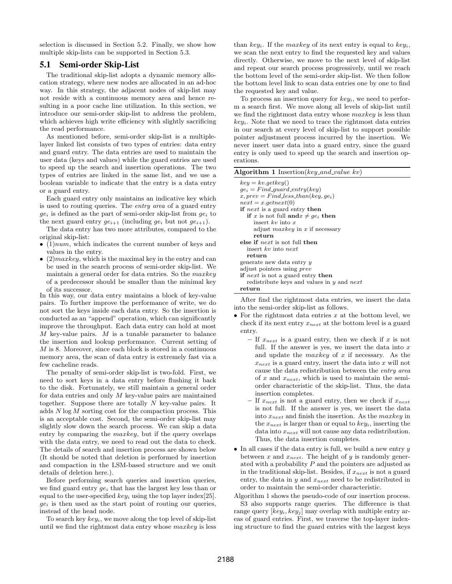selection is discussed in Section 5.2. Finally, we show how multiple skip-lists can be supported in Section 5.3.

## 5.1 Semi-order Skip-List

The traditional skip-list adopts a dynamic memory allocation strategy, where new nodes are allocated in an ad-hoc way. In this strategy, the adjacent nodes of skip-list may not reside with a continuous memory area and hence resulting in a poor cache line utilization. In this section, we introduce our semi-order skip-list to address the problem, which achieves high write efficiency with slightly sacrificing the read performance.

As mentioned before, semi-order skip-list is a multiplelayer linked list consists of two types of entries: data entry and guard entry. The data entries are used to maintain the user data (keys and values) while the guard entries are used to speed up the search and insertion operations. The two types of entries are linked in the same list, and we use a boolean variable to indicate that the entry is a data entry or a guard entry.

Each guard entry only maintains an indicative key which is used to routing queries. The entry area of a guard entry  $ge_i$  is defined as the part of semi-order skip-list from  $ge_i$  to the next guard entry  $ge_{i+1}$  (including  $ge_i$  but not  $ge_{i+1}$ ).

The data entry has two more attributes, compared to the original skip-list:

- $\bullet$  (1)*num*, which indicates the current number of keys and values in the entry.
- $(2)$ *maxkey*, which is the maximal key in the entry and can be used in the search process of semi-order skip-list. We maintain a general order for data entries. So the maxkey of a predecessor should be smaller than the minimal key of its successor.

In this way, our data entry maintains a block of key-value pairs. To further improve the performance of write, we do not sort the keys inside each data entry. So the insertion is conducted as an "append" operation, which can significantly improve the throughput. Each data entry can hold at most M key-value pairs. M is a tunable parameter to balance the insertion and lookup performance. Current setting of M is 8. Moreover, since each block is stored in a continuous memory area, the scan of data entry is extremely fast via a few cacheline reads.

The penalty of semi-order skip-list is two-fold. First, we need to sort keys in a data entry before flushing it back to the disk. Fortunately, we still maintain a general order for data entries and only M key-value pairs are maintained together. Suppose there are totally  $N$  key-value pairs. It adds  $N \log M$  sorting cost for the compaction process. This is an acceptable cost. Second, the semi-order skip-list may slightly slow down the search process. We can skip a data entry by comparing the maxkey, but if the query overlaps with the data entry, we need to read out the data to check. The details of search and insertion process are shown below (It should be noted that deletion is performed by insertion and compaction in the LSM-based structure and we omit details of deletion here.).

Before performing search queries and insertion queries, we find guard entry  $ge_i$  that has the largest key less than or equal to the user-specified  $key_i$  using the top layer index[25].  $ge<sub>i</sub>$  is then used as the start point of routing our queries, instead of the head node.

To search key  $key_i$ , we move along the top level of skip-list until we find the rightmost data entry whose  $maxkey$  is less than  $key_i$ . If the maxkey of its next entry is equal to  $key_i$ , we scan the next entry to find the requested key and values directly. Otherwise, we move to the next level of skip-list and repeat our search process progressively, until we reach the bottom level of the semi-order skip-list. We then follow the bottom level link to scan data entries one by one to find the requested key and value.

To process an insertion query for  $key_i$ , we need to perform a search first. We move along all levels of skip-list until we find the rightmost data entry whose *maxkey* is less than  $key_i$ . Note that we need to trace the rightmost data entries in our search at every level of skip-list to support possible pointer adjustment process incurred by the insertion. We never insert user data into a guard entry, since the guard entry is only used to speed up the search and insertion operations.

|  |  | Algorithm 1 Insertion( $key\_and\_value$ kv) |  |  |  |
|--|--|----------------------------------------------|--|--|--|
|--|--|----------------------------------------------|--|--|--|

| $key = kv.getkey()$                                           |
|---------------------------------------------------------------|
| $qe_i = Find\_{quard\_entry(key)}$                            |
| $x, prev = Find\_less\_than(key, qe_i)$                       |
| $next = x.getnext(0)$                                         |
| <b>if</b> next is a guard entry <b>then</b>                   |
| <b>if</b> x is not full <b>and</b> $x \neq qe_i$ <b> then</b> |
| insert $kv$ into x                                            |
| adjust $maxkey$ in x if necessary                             |
| return                                                        |
| else if <i>next</i> is not full then                          |
| insert $kv$ into next                                         |
| return                                                        |
| generate new data entry y                                     |
| adjust pointers using <i>prev</i>                             |
| <b>if</b> next is not a guard entry <b>then</b>               |
| redistribute keys and values in $y$ and next                  |
| return                                                        |
|                                                               |

After find the rightmost data entries, we insert the data into the semi-order skip-list as follows.

- For the rightmost data entries  $x$  at the bottom level, we check if its next entry  $x_{next}$  at the bottom level is a guard entry.
	- If  $x_{next}$  is a guard entry, then we check if x is not full. If the answer is yes, we insert the data into  $x$ and update the *maxkey* of  $x$  if necessary. As the  $x_{next}$  is a guard entry, insert the data into x will not cause the data redistribution between the entry area of x and  $x_{next}$ , which is used to maintain the semiorder characteristic of the skip-list. Thus, the data insertion completes.
	- If  $x_{next}$  is not a guard entry, then we check if  $x_{next}$ is not full. If the answer is yes, we insert the data into  $x_{next}$  and finish the insertion. As the *maxkey* in the  $x_{next}$  is larger than or equal to  $key_i$ , inserting the data into  $x_{next}$  will not cause any data redistribution. Thus, the data insertion completes.
- In all cases if the data entry is full, we build a new entry  $y$ between  $x$  and  $x_{next}$ . The height of  $y$  is randomly generated with a probability  $P$  and the pointers are adjusted as in the traditional skip-list. Besides, if  $x_{next}$  is not a guard entry, the data in  $y$  and  $x_{next}$  need to be redistributed in order to maintain the semi-order characteristic.

Algorithm 1 shows the pseudo-code of our insertion process. S3 also supports range queries. The difference is that range query  $[key_i, key_j]$  may overlap with multiple entry areas of guard entries. First, we traverse the top-layer indexing structure to find the guard entries with the largest keys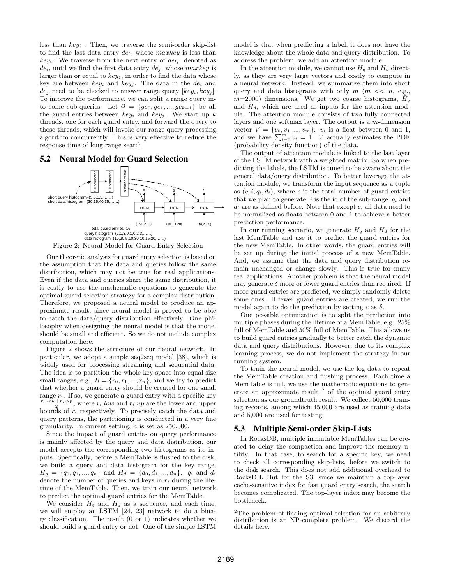less than  $key_i$ . Then, we traverse the semi-order skip-list to find the last data entry  $de_{l_i}$  whose maxkey is less than  $key_i$ . We traverse from the next entry of  $de_{l_i}$ , denoted as  $de_i$ , until we find the first data entry  $de_j$ , whose maxkey is larger than or equal to  $key_j$ , in order to find the data whose key are between  $key_i$  and  $key_j$ . The data in the  $de_i$  and  $de_i$  need to be checked to answer range query  $(key_i, key_j]$ . To improve the performance, we can split a range query into some sub-queries. Let  $\mathcal{G} = \{ge_0, ge_1, ..., ge_{k-1}\}\$  be all the guard entries between  $key_i$  and  $key_j$ . We start up k threads, one for each guard entry, and forward the query to those threads, which will invoke our range query processing algorithm concurrently. This is very effective to reduce the response time of long range search.

## 5.2 Neural Model for Guard Selection



Figure 2: Neural Model for Guard Entry Selection

Our theoretic analysis for guard entry selection is based on the assumption that the data and queries follow the same distribution, which may not be true for real applications. Even if the data and queries share the same distribution, it is costly to use the mathematic equations to generate the optimal guard selection strategy for a complex distribution. Therefore, we proposed a neural model to produce an approximate result, since neural model is proved to be able to catch the data/query distribution effectively. One philosophy when designing the neural model is that the model should be small and efficient. So we do not include complex computation here.

Figure 2 shows the structure of our neural network. In particular, we adopt a simple seq2seq model [38], which is widely used for processing streaming and sequential data. The idea is to partition the whole key space into equal-size small ranges, e.g.,  $R = \{r_0, r_1, ..., r_n\}$ , and we try to predict that whether a guard entry should be created for one small range  $r_i$ . If so, we generate a guard entry with a specific key  $\frac{r_i \cdot \overline{\textit{low}} + r_i \cdot \overline{\textit{up}}}{2}$ , where  $r_i \cdot \overline{\textit{low}}$  and  $r_i \cdot \overline{\textit{up}}$  are the lower and upper bounds of  $r_i$  respectively. To precisely catch the data and query patterns, the partitioning is conducted in a very fine granularity. In current setting, n is set as 250,000.

Since the impact of guard entries on query performance is mainly affected by the query and data distribution, our model accepts the corresponding two histograms as its inputs. Specifically, before a MemTable is flushed to the disk, we build a query and data histogram for the key range,  $H_q = \{q_0, q_1, ..., q_n\}$  and  $H_d = \{d_0, d_1, ..., d_n\}$ .  $q_i$  and  $d_i$ denote the number of queries and keys in  $r_i$  during the lifetime of the MemTable. Then, we train our neural network to predict the optimal guard entries for the MemTable.

We consider  $H<sub>a</sub>$  and  $H<sub>d</sub>$  as a sequence, and each time, we will employ an LSTM [24, 23] network to do a binary classification. The result (0 or 1) indicates whether we should build a guard entry or not. One of the simple LSTM model is that when predicting a label, it does not have the knowledge about the whole data and query distribution. To address the problem, we add an attention module.

In the attention module, we cannot use  $H_q$  and  $H_d$  directly, as they are very large vectors and costly to compute in a neural network. Instead, we summarize them into short query and data histograms with only  $m \ (\text{m} \ \lt \ \ \text{n}, \ \text{e.g.,})$  $m=2000$ ) dimensions. We get two coarse histograms,  $H<sub>q</sub>$ and  $H_d$ , which are used as inputs for the attention module. The attention module consists of two fully connected layers and one softmax layer. The output is a  $m$ -dimension vector  $V = \{v_0, v_1, ..., v_m\}$ .  $v_i$  is a float between 0 and 1, and we have  $\sum_{i=0}^{m} v_i = 1$ . *V* actually estimates the PDF (probability density function) of the data.

The output of attention module is linked to the last layer of the LSTM network with a weighted matrix. So when predicting the labels, the LSTM is tuned to be aware about the general data/query distribution. To better leverage the attention module, we transform the input sequence as a tuple as  $(c, i, q_i, d_i)$ , where c is the total number of guard entries that we plan to generate,  $i$  is the id of the sub-range,  $q_i$  and  $d_i$  are as defined before. Note that except  $c$ , all data need to be normalized as floats between 0 and 1 to achieve a better prediction performance.

In our running scenario, we generate  $H_q$  and  $H_d$  for the last MemTable and use it to predict the guard entries for the new MemTable. In other words, the guard entries will be set up during the initial process of a new MemTable. And, we assume that the data and query distribution remain unchanged or change slowly. This is true for many real applications. Another problem is that the neural model may generate  $\delta$  more or fewer guard entries than required. If more guard entries are predicted, we simply randomly delete some ones. If fewer guard entries are created, we run the model again to do the prediction by setting c as  $\delta$ .

One possible optimization is to split the prediction into multiple phases during the lifetime of a MemTable, e.g., 25% full of MemTable and 50% full of MemTable. This allows us to build guard entries gradually to better catch the dynamic data and query distributions. However, due to its complex learning process, we do not implement the strategy in our running system.

To train the neural model, we use the log data to repeat the MemTable creation and flushing process. Each time a MemTable is full, we use the mathematic equations to generate an approximate result  $2$  of the optimal guard entry selection as our groundtruth result. We collect 50,000 training records, among which 45,000 are used as training data and 5,000 are used for testing.

## 5.3 Multiple Semi-order Skip-Lists

In RocksDB, multiple immutable MemTables can be created to delay the compaction and improve the memory utility. In that case, to search for a specific key, we need to check all corresponding skip-lists, before we switch to the disk search. This does not add additional overhead to RocksDB. But for the S3, since we maintain a top-layer cache-sensitive index for fast guard entry search, the search becomes complicated. The top-layer index may become the bottleneck.

<sup>&</sup>lt;sup>2</sup>The problem of finding optimal selection for an arbitrary distribution is an NP-complete problem. We discard the details here.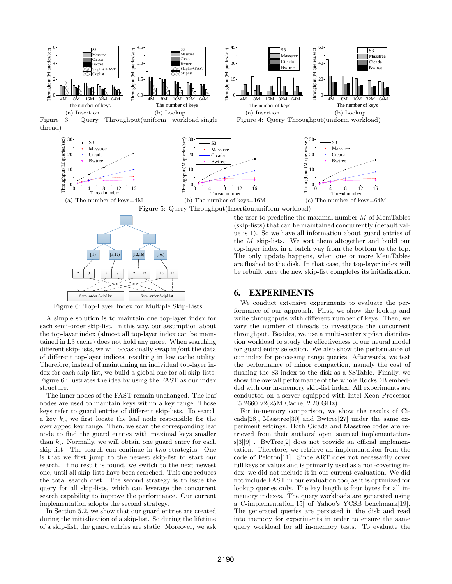



Figure 6: Top-Layer Index for Multiple Skip-Lists

A simple solution is to maintain one top-layer index for each semi-order skip-list. In this way, our assumption about the top-layer index (almost all top-layer index can be maintained in L3 cache) does not hold any more. When searching different skip-lists, we will occasionally swap in/out the data of different top-layer indices, resulting in low cache utility. Therefore, instead of maintaining an individual top-layer index for each skip-list, we build a global one for all skip-lists. Figure 6 illustrates the idea by using the FAST as our index structure.

The inner nodes of the FAST remain unchanged. The leaf nodes are used to maintain keys within a key range. Those keys refer to guard entries of different skip-lists. To search a key  $k_i$ , we first locate the leaf node responsible for the overlapped key range. Then, we scan the corresponding leaf node to find the guard entries with maximal keys smaller than  $k_i$ . Normally, we will obtain one guard entry for each skip-list. The search can continue in two strategies. One is that we first jump to the newest skip-list to start our search. If no result is found, we switch to the next newest one, until all skip-lists have been searched. This one reduces the total search cost. The second strategy is to issue the query for all skip-lists, which can leverage the concurrent search capability to improve the performance. Our current implementation adopts the second strategy.

In Section 5.2, we show that our guard entries are created during the initialization of a skip-list. So during the lifetime of a skip-list, the guard entries are static. Moreover, we ask the user to predefine the maximal number  $M$  of MemTables (skip-lists) that can be maintained concurrently (default value is 1). So we have all information about guard entries of the M skip-lists. We sort them altogether and build our top-layer index in a batch way from the bottom to the top. The only update happens, when one or more MemTables are flushed to the disk. In that case, the top-layer index will be rebuilt once the new skip-list completes its initialization.

#### 6. EXPERIMENTS

We conduct extensive experiments to evaluate the performance of our approach. First, we show the lookup and write throughputs with different number of keys. Then, we vary the number of threads to investigate the concurrent throughput. Besides, we use a multi-center zipfian distribution workload to study the effectiveness of our neural model for guard entry selection. We also show the performance of our index for processing range queries. Afterwards, we test the performance of minor compaction, namely the cost of flushing the S3 index to the disk as a SSTable. Finally, we show the overall performance of the whole RocksDB embedded with our in-memory skip-list index. All experiments are conducted on a server equipped with Intel Xeon Processor E5 2660 v2(25M Cache, 2.20 GHz).

For in-memory comparison, we show the results of Cicada[28], Masstree[30] and Bwtree[27] under the same experiment settings. Both Cicada and Masstree codes are retrieved from their authors' open sourced implementations[3][9] . BwTree[2] does not provide an official implementation. Therefore, we retrieve an implementation from the code of Peloton[11]. Since ART does not necessarily cover full keys or values and is primarily used as a non-covering index, we did not include it in our current evaluation. We did not include FAST in our evaluation too, as it is optimized for lookup queries only. The key length is four bytes for all inmemory indexes. The query workloads are generated using a C-implementation[15] of Yahoo's YCSB benchmark[19]. The generated queries are persisted in the disk and read into memory for experiments in order to ensure the same query workload for all in-memory tests. To evaluate the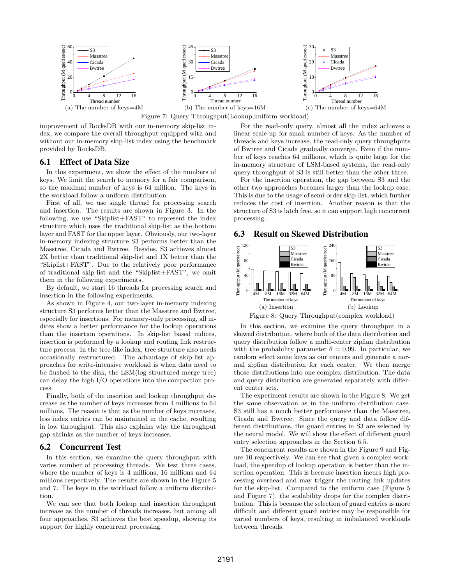

improvement of RocksDB with our in-memory skip-list index, we compare the overall throughput equipped with and without our in-memory skip-list index using the benchmark provided by RocksDB.

## 6.1 Effect of Data Size

In this experiment, we show the effect of the numbers of keys. We limit the search to memory for a fair comparison, so the maximal number of keys is 64 million. The keys in the workload follow a uniform distribution.

First of all, we use single thread for processing search and insertion. The results are shown in Figure 3. In the following, we use "Skiplist+FAST" to represent the index structure which uses the traditional skip-list as the bottom layer and FAST for the upper layer. Obviously, our two-layer in-memory indexing structure S3 performs better than the Masstree, Cicada and Bwtree. Besides, S3 achieves almost 2X better than traditional skip-list and 1X better than the "Skiplist+FAST". Due to the relatively poor performance of traditional skip-list and the "Skiplist+FAST", we omit them in the following experiments.

By default, we start 16 threads for processing search and insertion in the following experiments.

As shown in Figure 4, our two-layer in-memory indexing structure S3 performs better than the Masstree and Bwtree, especially for insertions. For memory-only processing, all indices show a better performance for the lookup operations than the insertion operations. In skip-list based indices, insertion is performed by a lookup and routing link restructure process. In the tree-like index, tree structure also needs occasionally restructured. The advantage of skip-list approaches for write-intensive workload is when data need to be flushed to the disk, the LSM(log structured merge tree) can delay the high I/O operations into the compaction process.

Finally, both of the insertion and lookup throughput decrease as the number of keys increases from 4 millions to 64 millions. The reason is that as the number of keys increases, less index entries can be maintained in the cache, resulting in low throughput. This also explains why the throughput gap shrinks as the number of keys increases.

#### 6.2 Concurrent Test

In this section, we examine the query throughput with varies number of processing threads. We test three cases, where the number of keys is 4 millions, 16 millions and 64 millions respectively. The results are shown in the Figure 5 and 7. The keys in the workload follow a uniform distribution.

We can see that both lookup and insertion throughput increase as the number of threads increases, but among all four approaches, S3 achieves the best speedup, showing its support for highly concurrent processing.

For the read-only query, almost all the index achieves a linear scale-up for small number of keys. As the number of threads and keys increase, the read-only query throughputs of Bwtree and Cicada gradually converge. Even if the number of keys reaches 64 millions, which is quite large for the in-memory structure of LSM-based systems, the read-only query throughput of S3 is still better than the other three.

For the insertion operation, the gap between S3 and the other two approaches becomes larger than the lookup case. This is due to the usage of semi-order skip-list, which further reduces the cost of insertion. Another reason is that the structure of S3 is latch free, so it can support high concurrent processing.

#### 6.3 Result on Skewed Distribution



In this section, we examine the query throughput in a

skewed distribution, where both of the data distribution and query distribution follow a multi-center zipfian distribution with the probability parameter  $\theta = 0.99$ . In particular, we random select some keys as our centers and generate a normal zipfian distribution for each center. We then merge those distributions into one complex distribution. The data and query distribution are generated separately with different center sets.

The experiment results are shown in the Figure 8. We get the same observation as in the uniform distribution case. S3 still has a much better performance than the Masstree, Cicada and Bwtree. Since the query and data follow different distributions, the guard entries in S3 are selected by the neural model. We will show the effect of different guard entry selection approaches in the Section 6.5.

The concurrent results are shown in the Figure 9 and Figure 10 respectively. We can see that given a complex workload, the speedup of lookup operation is better than the insertion operation. This is because insertion incurs high processing overhead and may trigger the routing link updates for the skip-list. Compared to the uniform case (Figure 5 and Figure 7), the scalability drops for the complex distribution. This is because the selection of guard entries is more difficult and different guard entries may be responsible for varied numbers of keys, resulting in imbalanced workloads between threads.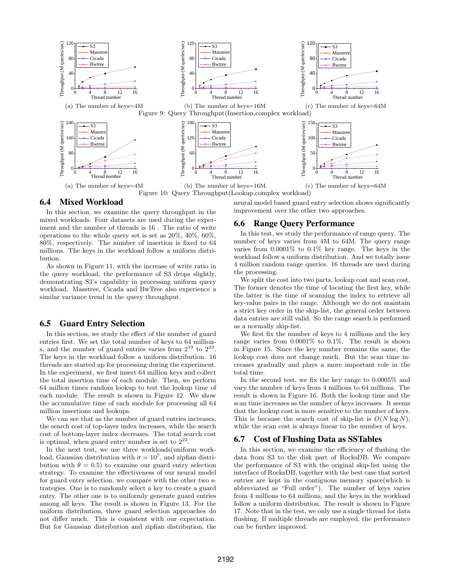

#### 6.4 Mixed Workload

In this section, we examine the query throughput in the mixed workloads. Four datasets are used during the experiment and the number of threads is 16 . The ratio of write operations to the whole query set is set as 20%, 40%, 60%, 80%, respectively. The number of insertion is fixed to 64 millions. The keys in the workload follow a uniform distribution.

As shown in Figure 11, with the increase of write ratio in the query workload, the performance of S3 drops slightly, demonstrating S3's capability in processing uniform query workload. Masstree, Cicada and BwTree also experience a similar variance trend in the query throughput.

#### 6.5 Guard Entry Selection

In this section, we study the effect of the number of guard entries first. We set the total number of keys to 64 millions, and the number of guard entries varies from  $2^{19}$  to  $2^{23}$ . The keys in the workload follow a uniform distribution. 16 threads are started up for processing during the experiment. In the experiment, we first insert 64 million keys and collect the total insertion time of each module. Then, we perform 64 million times random lookup to test the lookup time of each module. The result is shown in Figure 12. We show the accumulative time of each module for processing all 64 million insertions and lookups.

We can see that as the number of guard entries increases, the search cost of top-layer index increases, while the search cost of bottom-layer index decreases. The total search cost is optimal, when guard entry number is set to  $2^{22}$ .

In the next test, we use three workloads(uniform workload, Gaussian distribution with  $\sigma = 10^7$ , and zipfian distribution with  $\theta = 0.5$  to examine our guard entry selection strategy. To examine the effectiveness of our neural model for guard entry selection, we compare with the other two strategies. One is to randomly select a key to create a guard entry. The other one is to uniformly generate guard entries among all keys. The result is shown in Figure 13. For the uniform distribution, three guard selection approaches do not differ much. This is consistent with our expectation. But for Gaussian distribution and zipfian distribution, the neural model based guard entry selection shows significantly improvement over the other two approaches.

#### 6.6 Range Query Performance

In this test, we study the performance of range query. The number of keys varies from 4M to 64M. The query range varies from 0.0001% to 0.1% key range. The keys in the workload follow a uniform distribution. And we totally issue 4 million random range queries. 16 threads are used during the processing.

We split the cost into two parts, lookup cost and scan cost. The former denotes the time of locating the first key, while the latter is the time of scanning the index to retrieve all key-value pairs in the range. Although we do not maintain a strict key order in the skip-list, the general order between data entries are still valid. So the range search is performed as a normally skip-list.

We first fix the number of keys to 4 millions and the key range varies from 0.0001% to 0.1%. The result is shown in Figure 15. Since the key number remains the same, the lookup cost does not change much. But the scan time increases gradually and plays a more important role in the total time.

In the second test, we fix the key range to 0.0005% and vary the number of keys from 4 millions to 64 millions. The result is shown in Figure 16. Both the lookup time and the scan time increases as the number of keys increases. It seems that the lookup cost is more sensitive to the number of keys. This is because the search cost of skip-list is  $O(N \log N)$ , while the scan cost is always linear to the number of keys.

## 6.7 Cost of Flushing Data as SSTables

In this section, we examine the efficiency of flushing the data from S3 to the disk part of RocksDB. We compare the performance of S3 with the original skip-list using the interface of RocksDB, together with the best case that sorted entries are kept in the contiguous memory space(which is abbreviated as "Full order"). The number of keys varies from 4 millions to 64 millions, and the keys in the workload follow a uniform distribution. The result is shown in Figure 17. Note that in the test, we only use a single thread for data flushing. If multiple threads are employed, the performance can be further improved.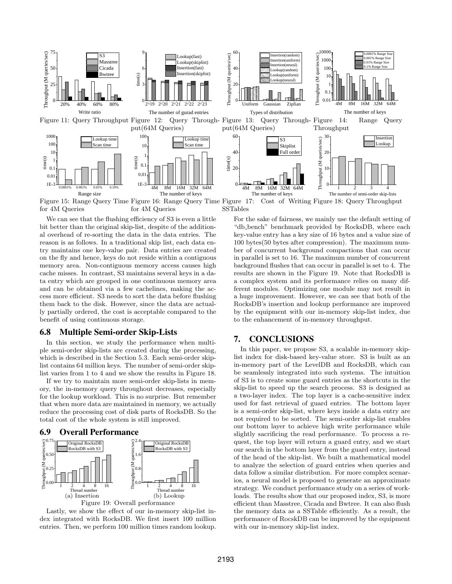

Figure 15: Range Query Time Figure 16: Range Query Time for 4M Queries for 4M Queries Figure 17: Cost of Writing Figure 18: Query Throughput SSTables

We can see that the flushing efficiency of S3 is even a little bit better than the original skip-list, despite of the additional overhead of re-sorting the data in the data entries. The reason is as follows. In a traditional skip list, each data entry maintains one key-value pair. Data entries are created on the fly and hence, keys do not reside within a contiguous memory area. Non-contiguous memory access causes high cache misses. In contrast, S3 maintains several keys in a data entry which are grouped in one continuous memory area and can be obtained via a few cachelines, making the access more efficient. S3 needs to sort the data before flushing them back to the disk. However, since the data are actually partially ordered, the cost is acceptable compared to the benefit of using continuous storage.

#### 6.8 Multiple Semi-order Skip-Lists

In this section, we study the performance when multiple semi-order skip-lists are created during the processing, which is described in the Section 5.3. Each semi-order skiplist contains 64 million keys. The number of semi-order skiplist varies from 1 to 4 and we show the results in Figure 18.

If we try to maintain more semi-order skip-lists in memory, the in-memory query throughout decreases, especially for the lookup workload. This is no surprise. But remember that when more data are maintained in memory, we actually reduce the processing cost of disk parts of RocksDB. So the total cost of the whole system is still improved.

## 6.9 Overall Performance



Lastly, we show the effect of our in-memory skip-list index integrated with RocksDB. We first insert 100 million entries. Then, we perform 100 million times random lookup.

For the sake of fairness, we mainly use the default setting of "db bench" benchmark provided by RocksDB, where each key-value entry has a key size of 16 bytes and a value size of 100 bytes(50 bytes after compression). The maximum number of concurrent background compactions that can occur in parallel is set to 16. The maximum number of concurrent background flushes that can occur in parallel is set to 4. The results are shown in the Figure 19. Note that RocksDB is a complex system and its performance relies on many different modules. Optimizing one module may not result in a huge improvement. However, we can see that both of the RocksDB's insertion and lookup performance are improved by the equipment with our in-memory skip-list index, due to the enhancement of in-memory throughput.

# 7. CONCLUSIONS

 $\frac{1}{2}$   $\frac{2}{4}$   $\frac{4}{8}$   $\frac{8}{16}$  is strategy. We conduct performance study on a series of work to analyze the selection of guard entries when queries and In this paper, we propose S3, a scalable in-memory skiplist index for disk-based key-value store. S3 is built as an in-memory part of the LevelDB and RocksDB, which can be seamlessly integrated into such systems. The intuition of S3 is to create some guard entries as the shortcuts in the skip-list to speed up the search process. S3 is designed as a two-layer index. The top layer is a cache-sensitive index used for fast retrieval of guard entries. The bottom layer is a semi-order skip-list, where keys inside a data entry are not required to be sorted. The semi-order skip-list enables our bottom layer to achieve high write performance while slightly sacrificing the read performance. To process a request, the top layer will return a guard entry, and we start our search in the bottom layer from the guard entry, instead of the head of the skip-list. We built a mathematical model data follow a similar distribution. For more complex scenarios, a neural model is proposed to generate an approximate loads. The results show that our proposed index, S3, is more efficient than Masstree, Cicada and Bwtree. It can also flush the memory data as a SSTable efficiently. As a result, the performance of RocskDB can be improved by the equipment with our in-memory skip-list index.